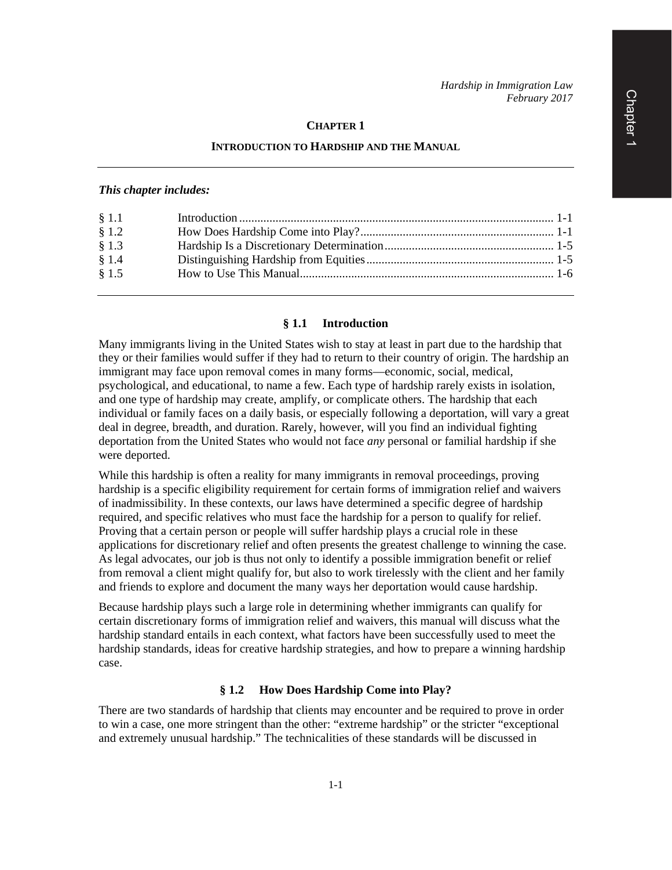#### **CHAPTER 1**

#### **INTRODUCTION TO HARDSHIP AND THE MANUAL**

### *This chapter includes:*

| § 1.1 |  |
|-------|--|
| \$1.2 |  |
| § 1.3 |  |
| § 1.4 |  |
| § 1.5 |  |
|       |  |

#### **§ 1.1 Introduction**

Many immigrants living in the United States wish to stay at least in part due to the hardship that they or their families would suffer if they had to return to their country of origin. The hardship an immigrant may face upon removal comes in many forms—economic, social, medical, psychological, and educational, to name a few. Each type of hardship rarely exists in isolation, and one type of hardship may create, amplify, or complicate others. The hardship that each individual or family faces on a daily basis, or especially following a deportation, will vary a great deal in degree, breadth, and duration. Rarely, however, will you find an individual fighting deportation from the United States who would not face *any* personal or familial hardship if she were deported.

While this hardship is often a reality for many immigrants in removal proceedings, proving hardship is a specific eligibility requirement for certain forms of immigration relief and waivers of inadmissibility. In these contexts, our laws have determined a specific degree of hardship required, and specific relatives who must face the hardship for a person to qualify for relief. Proving that a certain person or people will suffer hardship plays a crucial role in these applications for discretionary relief and often presents the greatest challenge to winning the case. As legal advocates, our job is thus not only to identify a possible immigration benefit or relief from removal a client might qualify for, but also to work tirelessly with the client and her family and friends to explore and document the many ways her deportation would cause hardship.

Because hardship plays such a large role in determining whether immigrants can qualify for certain discretionary forms of immigration relief and waivers, this manual will discuss what the hardship standard entails in each context, what factors have been successfully used to meet the hardship standards, ideas for creative hardship strategies, and how to prepare a winning hardship case.

# **§ 1.2 How Does Hardship Come into Play?**

There are two standards of hardship that clients may encounter and be required to prove in order to win a case, one more stringent than the other: "extreme hardship" or the stricter "exceptional and extremely unusual hardship." The technicalities of these standards will be discussed in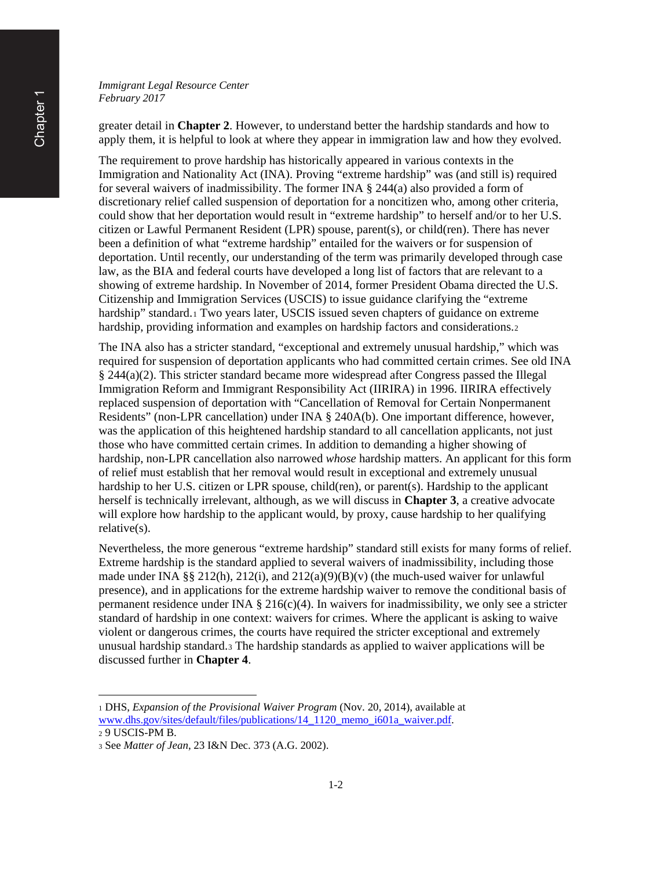*Immigrant Legal Resource Center February 2017*

greater detail in **Chapter 2**. However, to understand better the hardship standards and how to apply them, it is helpful to look at where they appear in immigration law and how they evolved.

The requirement to prove hardship has historically appeared in various contexts in the Immigration and Nationality Act (INA). Proving "extreme hardship" was (and still is) required for several waivers of inadmissibility. The former INA  $\S$  244(a) also provided a form of discretionary relief called suspension of deportation for a noncitizen who, among other criteria, could show that her deportation would result in "extreme hardship" to herself and/or to her U.S. citizen or Lawful Permanent Resident (LPR) spouse, parent(s), or child(ren). There has never been a definition of what "extreme hardship" entailed for the waivers or for suspension of deportation. Until recently, our understanding of the term was primarily developed through case law, as the BIA and federal courts have developed a long list of factors that are relevant to a showing of extreme hardship. In November of 2014, former President Obama directed the U.S. Citizenship and Immigration Services (USCIS) to issue guidance clarifying the "extreme hardship" standard.<sup>[1](#page-1-0)</sup> Two years later, USCIS issued seven chapters of guidance on extreme hardship, providing information and examples on hardship factors and considerations.[2](#page-1-1)

The INA also has a stricter standard, "exceptional and extremely unusual hardship," which was required for suspension of deportation applicants who had committed certain crimes. See old INA § 244(a)(2). This stricter standard became more widespread after Congress passed the Illegal Immigration Reform and Immigrant Responsibility Act (IIRIRA) in 1996. IIRIRA effectively replaced suspension of deportation with "Cancellation of Removal for Certain Nonpermanent Residents" (non-LPR cancellation) under INA § 240A(b). One important difference, however, was the application of this heightened hardship standard to all cancellation applicants, not just those who have committed certain crimes. In addition to demanding a higher showing of hardship, non-LPR cancellation also narrowed *whose* hardship matters. An applicant for this form of relief must establish that her removal would result in exceptional and extremely unusual hardship to her U.S. citizen or LPR spouse, child(ren), or parent(s). Hardship to the applicant herself is technically irrelevant, although, as we will discuss in **Chapter 3**, a creative advocate will explore how hardship to the applicant would, by proxy, cause hardship to her qualifying relative(s).

Nevertheless, the more generous "extreme hardship" standard still exists for many forms of relief. Extreme hardship is the standard applied to several waivers of inadmissibility, including those made under INA §§ 212(h), 212(i), and 212(a)(9)(B)(v) (the much-used waiver for unlawful presence), and in applications for the extreme hardship waiver to remove the conditional basis of permanent residence under INA  $\S 216(c)(4)$ . In waivers for inadmissibility, we only see a stricter standard of hardship in one context: waivers for crimes. Where the applicant is asking to waive violent or dangerous crimes, the courts have required the stricter exceptional and extremely unusual hardship standard.[3](#page-1-2) The hardship standards as applied to waiver applications will be discussed further in **Chapter 4**.

 $\overline{\phantom{a}}$ 

<span id="page-1-0"></span><sup>1</sup> DHS, *Expansion of the Provisional Waiver Program* (Nov. 20, 2014), available at [www.dhs.gov/sites/default/files/publications/14\\_1120\\_memo\\_i601a\\_waiver.pdf.](http://www.dhs.gov/sites/default/files/publications/14_1120_memo_i601a_waiver.pdf)

<span id="page-1-1"></span><sup>2</sup> 9 USCIS-PM B.

<span id="page-1-2"></span><sup>3</sup> See *Matter of Jean*, 23 I&N Dec. 373 (A.G. 2002).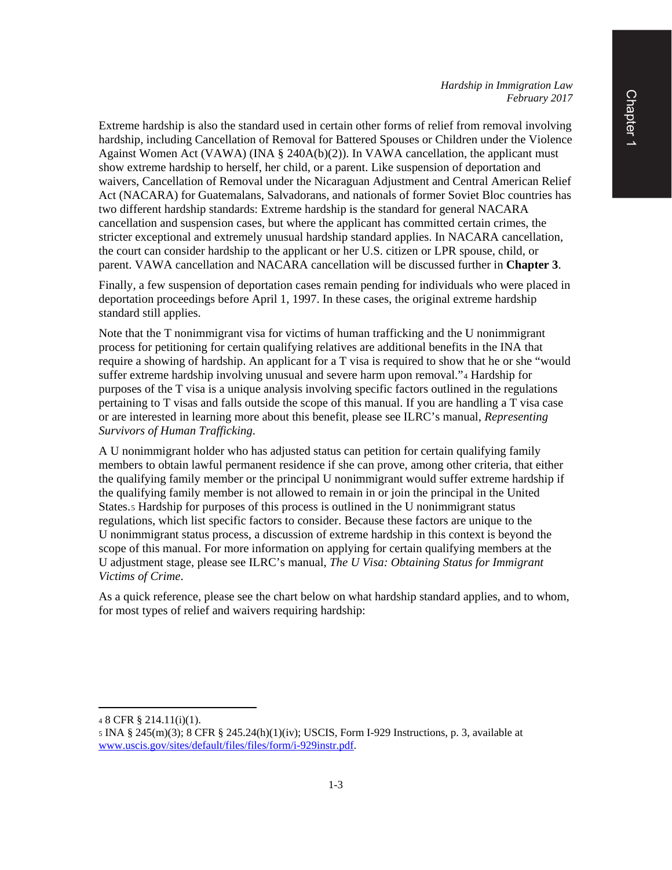Extreme hardship is also the standard used in certain other forms of relief from removal involving hardship, including Cancellation of Removal for Battered Spouses or Children under the Violence Against Women Act (VAWA) (INA § 240A(b)(2)). In VAWA cancellation, the applicant must show extreme hardship to herself, her child, or a parent. Like suspension of deportation and waivers, Cancellation of Removal under the Nicaraguan Adjustment and Central American Relief Act (NACARA) for Guatemalans, Salvadorans, and nationals of former Soviet Bloc countries has two different hardship standards: Extreme hardship is the standard for general NACARA cancellation and suspension cases, but where the applicant has committed certain crimes, the stricter exceptional and extremely unusual hardship standard applies. In NACARA cancellation, the court can consider hardship to the applicant or her U.S. citizen or LPR spouse, child, or parent. VAWA cancellation and NACARA cancellation will be discussed further in **Chapter 3**.

Finally, a few suspension of deportation cases remain pending for individuals who were placed in deportation proceedings before April 1, 1997. In these cases, the original extreme hardship standard still applies.

Note that the T nonimmigrant visa for victims of human trafficking and the U nonimmigrant process for petitioning for certain qualifying relatives are additional benefits in the INA that require a showing of hardship. An applicant for a T visa is required to show that he or she "would suffer extreme hardship involving unusual and severe harm upon removal."[4](#page-2-0) Hardship for purposes of the T visa is a unique analysis involving specific factors outlined in the regulations pertaining to T visas and falls outside the scope of this manual. If you are handling a T visa case or are interested in learning more about this benefit, please see ILRC's manual, *Representing Survivors of Human Trafficking*.

A U nonimmigrant holder who has adjusted status can petition for certain qualifying family members to obtain lawful permanent residence if she can prove, among other criteria, that either the qualifying family member or the principal U nonimmigrant would suffer extreme hardship if the qualifying family member is not allowed to remain in or join the principal in the United States.[5](#page-2-1) Hardship for purposes of this process is outlined in the U nonimmigrant status regulations, which list specific factors to consider. Because these factors are unique to the U nonimmigrant status process, a discussion of extreme hardship in this context is beyond the scope of this manual. For more information on applying for certain qualifying members at the U adjustment stage, please see ILRC's manual, *The U Visa: Obtaining Status for Immigrant Victims of Crime*.

As a quick reference, please see the chart below on what hardship standard applies, and to whom, for most types of relief and waivers requiring hardship:

l

<span id="page-2-0"></span><sup>4</sup> 8 CFR § 214.11(i)(1).

<span id="page-2-1"></span><sup>5</sup> INA § 245(m)(3); 8 CFR § 245.24(h)(1)(iv); USCIS, Form I-929 Instructions, p. 3, available at [www.uscis.gov/sites/default/files/files/form/i-929instr.pdf.](http://www.uscis.gov/sites/default/files/files/form/i-929instr.pdf)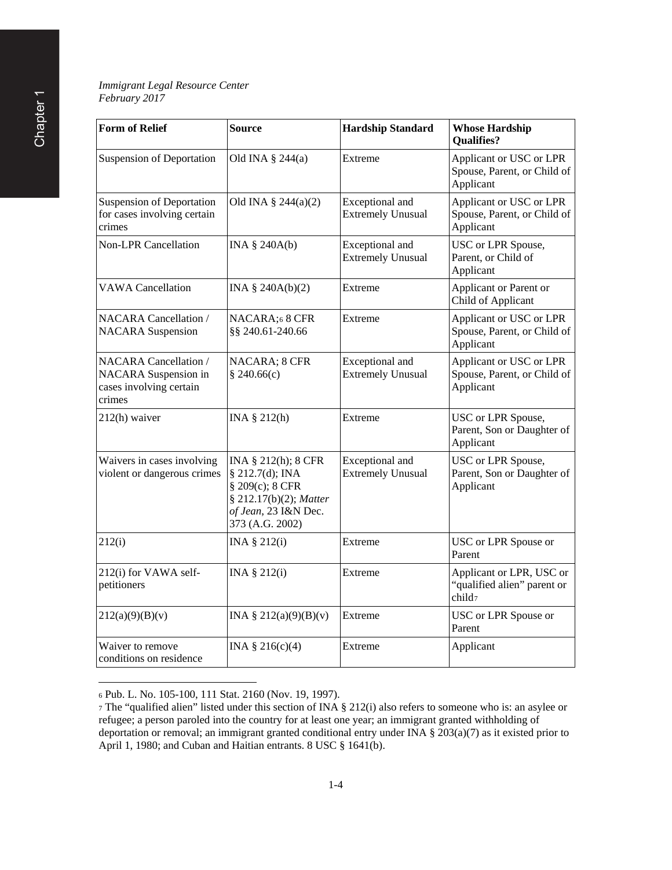# *Immigrant Legal Resource Center February 2017*

| <b>Form of Relief</b>                                                                     | <b>Source</b>                                                                                                                  | <b>Hardship Standard</b>                    | <b>Whose Hardship</b><br><b>Qualifies?</b>                          |
|-------------------------------------------------------------------------------------------|--------------------------------------------------------------------------------------------------------------------------------|---------------------------------------------|---------------------------------------------------------------------|
| <b>Suspension of Deportation</b>                                                          | Old INA $\S$ 244(a)                                                                                                            | Extreme                                     | Applicant or USC or LPR<br>Spouse, Parent, or Child of<br>Applicant |
| <b>Suspension of Deportation</b><br>for cases involving certain<br>crimes                 | Old INA $\S$ 244(a)(2)                                                                                                         | Exceptional and<br><b>Extremely Unusual</b> | Applicant or USC or LPR<br>Spouse, Parent, or Child of<br>Applicant |
| <b>Non-LPR Cancellation</b>                                                               | INA § 240A(b)                                                                                                                  | Exceptional and<br><b>Extremely Unusual</b> | USC or LPR Spouse,<br>Parent, or Child of<br>Applicant              |
| <b>VAWA</b> Cancellation                                                                  | INA $\S$ 240A(b)(2)                                                                                                            | Extreme                                     | Applicant or Parent or<br>Child of Applicant                        |
| <b>NACARA</b> Cancellation /<br><b>NACARA</b> Suspension                                  | NACARA;6 8 CFR<br>§§ 240.61-240.66                                                                                             | Extreme                                     | Applicant or USC or LPR<br>Spouse, Parent, or Child of<br>Applicant |
| <b>NACARA</b> Cancellation /<br>NACARA Suspension in<br>cases involving certain<br>crimes | NACARA; 8 CFR<br>§ 240.66(c)                                                                                                   | Exceptional and<br><b>Extremely Unusual</b> | Applicant or USC or LPR<br>Spouse, Parent, or Child of<br>Applicant |
| 212(h) waiver                                                                             | INA § 212(h)                                                                                                                   | Extreme                                     | USC or LPR Spouse,<br>Parent, Son or Daughter of<br>Applicant       |
| Waivers in cases involving<br>violent or dangerous crimes                                 | INA § 212(h); 8 CFR<br>§ 212.7(d); INA<br>§ 209(c); 8 CFR<br>§ 212.17(b)(2); Matter<br>of Jean, 23 I&N Dec.<br>373 (A.G. 2002) | Exceptional and<br><b>Extremely Unusual</b> | USC or LPR Spouse,<br>Parent, Son or Daughter of<br>Applicant       |
| 212(i)                                                                                    | INA § 212(i)                                                                                                                   | Extreme                                     | USC or LPR Spouse or<br>Parent                                      |
| 212(i) for VAWA self-<br>petitioners                                                      | INA § 212(i)                                                                                                                   | Extreme                                     | Applicant or LPR, USC or<br>"qualified alien" parent or<br>child7   |
| 212(a)(9)(B)(v)                                                                           | INA § $212(a)(9)(B)(v)$                                                                                                        | Extreme                                     | USC or LPR Spouse or<br>Parent                                      |
| Waiver to remove<br>conditions on residence                                               | INA $§ 216(c)(4)$                                                                                                              | Extreme                                     | Applicant                                                           |

<sup>6</sup> Pub. L. No. 105-100, 111 Stat. 2160 (Nov. 19, 1997).

 $\overline{\phantom{a}}$ 

<span id="page-3-1"></span><span id="page-3-0"></span><sup>7</sup> The "qualified alien" listed under this section of INA § 212(i) also refers to someone who is: an asylee or refugee; a person paroled into the country for at least one year; an immigrant granted withholding of deportation or removal; an immigrant granted conditional entry under INA § 203(a)(7) as it existed prior to April 1, 1980; and Cuban and Haitian entrants. 8 USC § 1641(b).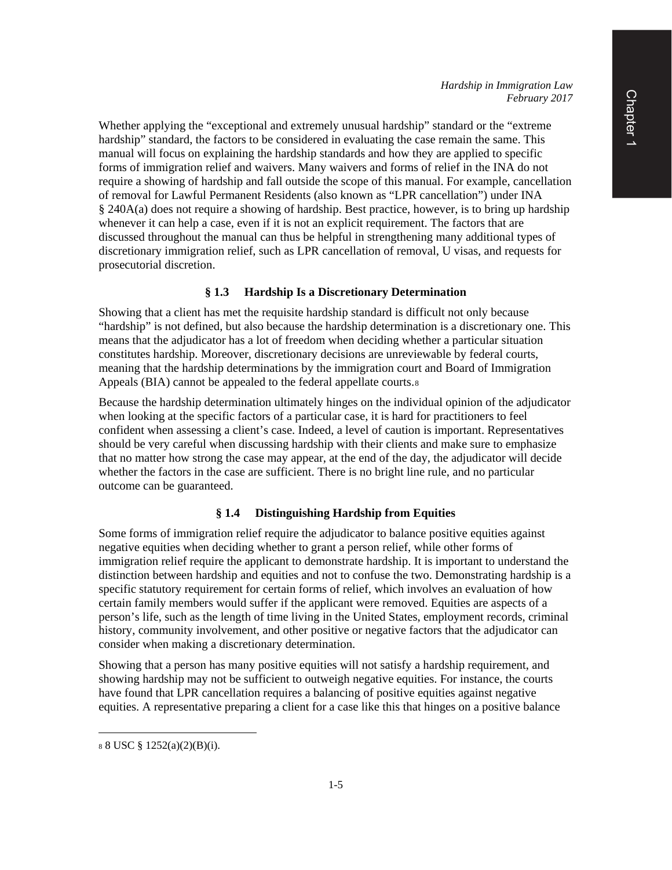Whether applying the "exceptional and extremely unusual hardship" standard or the "extreme hardship" standard, the factors to be considered in evaluating the case remain the same. This manual will focus on explaining the hardship standards and how they are applied to specific forms of immigration relief and waivers. Many waivers and forms of relief in the INA do not require a showing of hardship and fall outside the scope of this manual. For example, cancellation of removal for Lawful Permanent Residents (also known as "LPR cancellation") under INA § 240A(a) does not require a showing of hardship. Best practice, however, is to bring up hardship whenever it can help a case, even if it is not an explicit requirement. The factors that are discussed throughout the manual can thus be helpful in strengthening many additional types of discretionary immigration relief, such as LPR cancellation of removal, U visas, and requests for prosecutorial discretion.

# **§ 1.3 Hardship Is a Discretionary Determination**

Showing that a client has met the requisite hardship standard is difficult not only because "hardship" is not defined, but also because the hardship determination is a discretionary one. This means that the adjudicator has a lot of freedom when deciding whether a particular situation constitutes hardship. Moreover, discretionary decisions are unreviewable by federal courts, meaning that the hardship determinations by the immigration court and Board of Immigration Appeals (BIA) cannot be appealed to the federal appellate courts.[8](#page-4-0)

Because the hardship determination ultimately hinges on the individual opinion of the adjudicator when looking at the specific factors of a particular case, it is hard for practitioners to feel confident when assessing a client's case. Indeed, a level of caution is important. Representatives should be very careful when discussing hardship with their clients and make sure to emphasize that no matter how strong the case may appear, at the end of the day, the adjudicator will decide whether the factors in the case are sufficient. There is no bright line rule, and no particular outcome can be guaranteed.

# **§ 1.4 Distinguishing Hardship from Equities**

Some forms of immigration relief require the adjudicator to balance positive equities against negative equities when deciding whether to grant a person relief, while other forms of immigration relief require the applicant to demonstrate hardship. It is important to understand the distinction between hardship and equities and not to confuse the two. Demonstrating hardship is a specific statutory requirement for certain forms of relief, which involves an evaluation of how certain family members would suffer if the applicant were removed. Equities are aspects of a person's life, such as the length of time living in the United States, employment records, criminal history, community involvement, and other positive or negative factors that the adjudicator can consider when making a discretionary determination.

Showing that a person has many positive equities will not satisfy a hardship requirement, and showing hardship may not be sufficient to outweigh negative equities. For instance, the courts have found that LPR cancellation requires a balancing of positive equities against negative equities. A representative preparing a client for a case like this that hinges on a positive balance

 $\overline{\phantom{a}}$ 

<span id="page-4-0"></span><sup>8</sup> 8 USC § 1252(a)(2)(B)(i).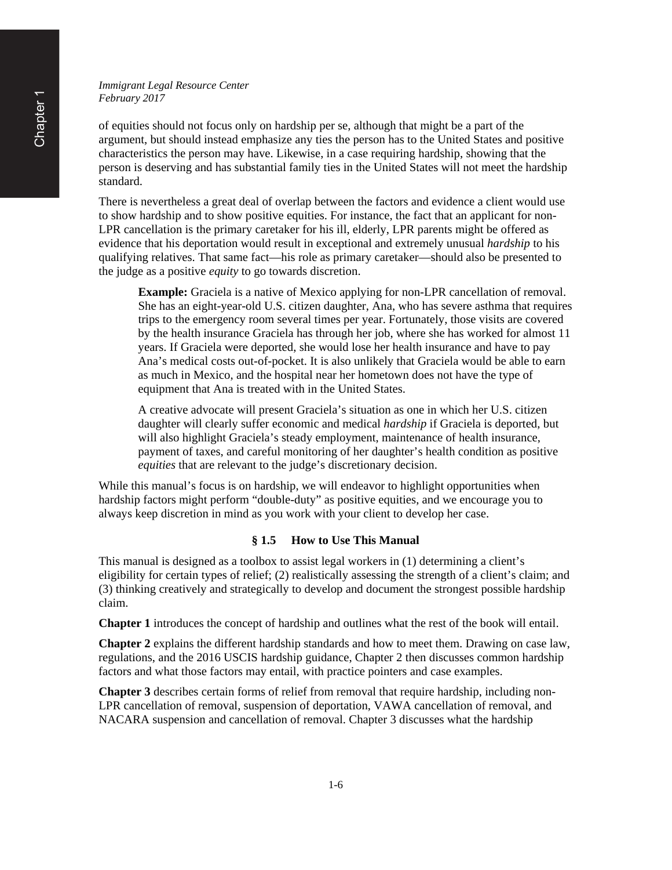*Immigrant Legal Resource Center February 2017*

of equities should not focus only on hardship per se, although that might be a part of the argument, but should instead emphasize any ties the person has to the United States and positive characteristics the person may have. Likewise, in a case requiring hardship, showing that the person is deserving and has substantial family ties in the United States will not meet the hardship standard.

There is nevertheless a great deal of overlap between the factors and evidence a client would use to show hardship and to show positive equities. For instance, the fact that an applicant for non-LPR cancellation is the primary caretaker for his ill, elderly, LPR parents might be offered as evidence that his deportation would result in exceptional and extremely unusual *hardship* to his qualifying relatives. That same fact—his role as primary caretaker—should also be presented to the judge as a positive *equity* to go towards discretion.

**Example:** Graciela is a native of Mexico applying for non-LPR cancellation of removal. She has an eight-year-old U.S. citizen daughter, Ana, who has severe asthma that requires trips to the emergency room several times per year. Fortunately, those visits are covered by the health insurance Graciela has through her job, where she has worked for almost 11 years. If Graciela were deported, she would lose her health insurance and have to pay Ana's medical costs out-of-pocket. It is also unlikely that Graciela would be able to earn as much in Mexico, and the hospital near her hometown does not have the type of equipment that Ana is treated with in the United States.

A creative advocate will present Graciela's situation as one in which her U.S. citizen daughter will clearly suffer economic and medical *hardship* if Graciela is deported, but will also highlight Graciela's steady employment, maintenance of health insurance, payment of taxes, and careful monitoring of her daughter's health condition as positive *equities* that are relevant to the judge's discretionary decision.

While this manual's focus is on hardship, we will endeavor to highlight opportunities when hardship factors might perform "double-duty" as positive equities, and we encourage you to always keep discretion in mind as you work with your client to develop her case.

### **§ 1.5 How to Use This Manual**

This manual is designed as a toolbox to assist legal workers in (1) determining a client's eligibility for certain types of relief; (2) realistically assessing the strength of a client's claim; and (3) thinking creatively and strategically to develop and document the strongest possible hardship claim.

**Chapter 1** introduces the concept of hardship and outlines what the rest of the book will entail.

**Chapter 2** explains the different hardship standards and how to meet them. Drawing on case law, regulations, and the 2016 USCIS hardship guidance, Chapter 2 then discusses common hardship factors and what those factors may entail, with practice pointers and case examples.

**Chapter 3** describes certain forms of relief from removal that require hardship, including non-LPR cancellation of removal, suspension of deportation, VAWA cancellation of removal, and NACARA suspension and cancellation of removal. Chapter 3 discusses what the hardship